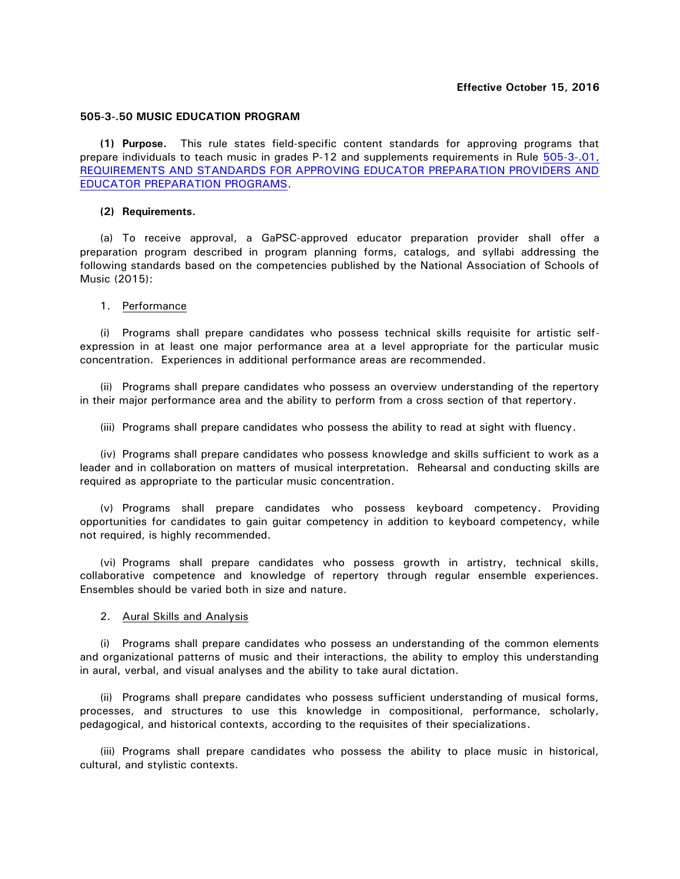#### **505-3-.50 MUSIC EDUCATION PROGRAM**

**(1) Purpose.** This rule states field-specific content standards for approving programs that prepare individuals to teach music in grades P-12 and supplements requirements in Rule [505-3-.01,](http://www.gapsc.com/Rules/Current/EducatorPreparation/505-3-.01.pdf?dt=636118609421941377)  [REQUIREMENTS AND STANDARDS FOR APPROVING EDUCATOR PREPARATION PROVIDERS AND](http://www.gapsc.com/Rules/Current/EducatorPreparation/505-3-.01.pdf?dt=636118609421941377)  [EDUCATOR PREPARATION PROGRAMS.](http://www.gapsc.com/Rules/Current/EducatorPreparation/505-3-.01.pdf?dt=636118609421941377)

#### **(2) Requirements.**

(a) To receive approval, a GaPSC-approved educator preparation provider shall offer a preparation program described in program planning forms, catalogs, and syllabi addressing the following standards based on the competencies published by the National Association of Schools of Music (2015):

#### 1. Performance

(i) Programs shall prepare candidates who possess technical skills requisite for artistic selfexpression in at least one major performance area at a level appropriate for the particular music concentration. Experiences in additional performance areas are recommended.

(ii) Programs shall prepare candidates who possess an overview understanding of the repertory in their major performance area and the ability to perform from a cross section of that repertory.

(iii) Programs shall prepare candidates who possess the ability to read at sight with fluency.

(iv) Programs shall prepare candidates who possess knowledge and skills sufficient to work as a leader and in collaboration on matters of musical interpretation. Rehearsal and conducting skills are required as appropriate to the particular music concentration.

(v) Programs shall prepare candidates who possess keyboard competency**.** Providing opportunities for candidates to gain guitar competency in addition to keyboard competency, while not required, is highly recommended.

(vi) Programs shall prepare candidates who possess growth in artistry, technical skills, collaborative competence and knowledge of repertory through regular ensemble experiences. Ensembles should be varied both in size and nature.

### 2. Aural Skills and Analysis

(i) Programs shall prepare candidates who possess an understanding of the common elements and organizational patterns of music and their interactions, the ability to employ this understanding in aural, verbal, and visual analyses and the ability to take aural dictation.

(ii) Programs shall prepare candidates who possess sufficient understanding of musical forms, processes, and structures to use this knowledge in compositional, performance, scholarly, pedagogical, and historical contexts, according to the requisites of their specializations.

(iii) Programs shall prepare candidates who possess the ability to place music in historical, cultural, and stylistic contexts.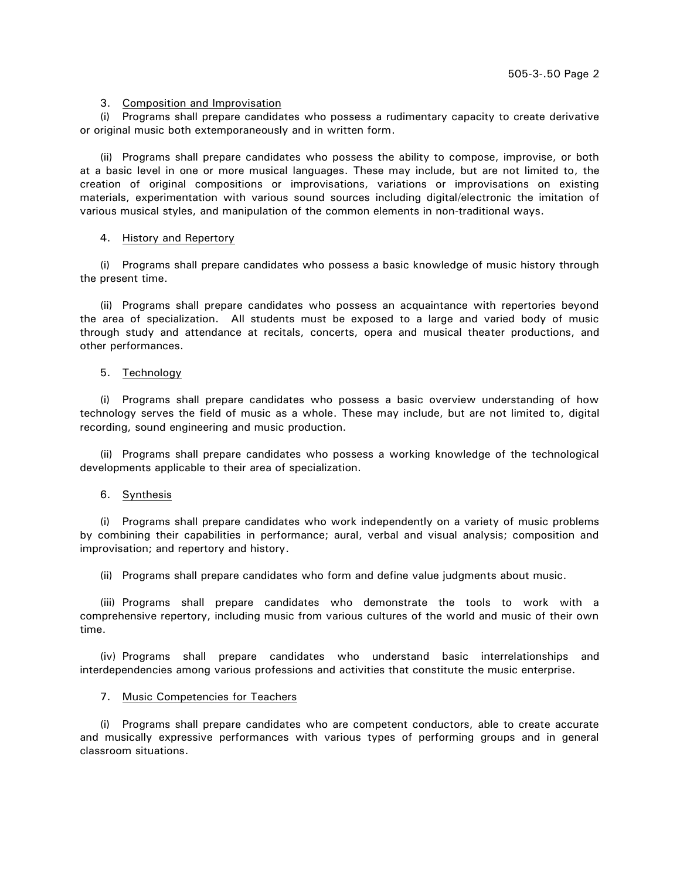# 3. Composition and Improvisation

(i) Programs shall prepare candidates who possess a rudimentary capacity to create derivative or original music both extemporaneously and in written form.

(ii) Programs shall prepare candidates who possess the ability to compose, improvise, or both at a basic level in one or more musical languages. These may include, but are not limited to, the creation of original compositions or improvisations, variations or improvisations on existing materials, experimentation with various sound sources including digital/electronic the imitation of various musical styles, and manipulation of the common elements in non-traditional ways.

### 4. History and Repertory

(i) Programs shall prepare candidates who possess a basic knowledge of music history through the present time.

(ii) Programs shall prepare candidates who possess an acquaintance with repertories beyond the area of specialization. All students must be exposed to a large and varied body of music through study and attendance at recitals, concerts, opera and musical theater productions, and other performances.

# 5. Technology

(i) Programs shall prepare candidates who possess a basic overview understanding of how technology serves the field of music as a whole. These may include, but are not limited to, digital recording, sound engineering and music production.

(ii) Programs shall prepare candidates who possess a working knowledge of the technological developments applicable to their area of specialization.

# 6. Synthesis

(i) Programs shall prepare candidates who work independently on a variety of music problems by combining their capabilities in performance; aural, verbal and visual analysis; composition and improvisation; and repertory and history.

(ii) Programs shall prepare candidates who form and define value judgments about music.

(iii) Programs shall prepare candidates who demonstrate the tools to work with a comprehensive repertory, including music from various cultures of the world and music of their own time.

(iv) Programs shall prepare candidates who understand basic interrelationships and interdependencies among various professions and activities that constitute the music enterprise.

### 7. Music Competencies for Teachers

(i) Programs shall prepare candidates who are competent conductors, able to create accurate and musically expressive performances with various types of performing groups and in general classroom situations.